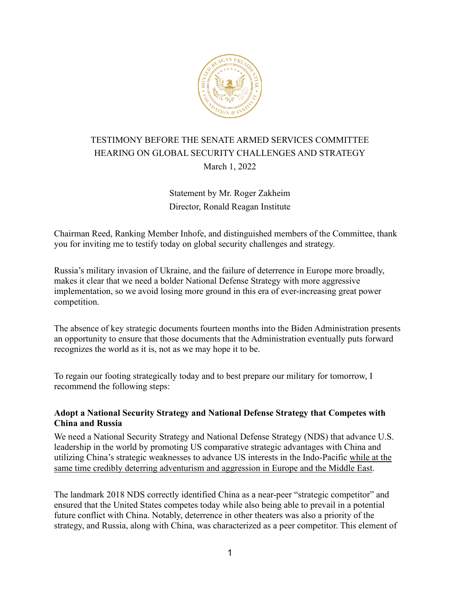

# TESTIMONY BEFORE THE SENATE ARMED SERVICES COMMITTEE HEARING ON GLOBAL SECURITY CHALLENGES AND STRATEGY March 1, 2022

## Statement by Mr. Roger Zakheim Director, Ronald Reagan Institute

Chairman Reed, Ranking Member Inhofe, and distinguished members of the Committee, thank you for inviting me to testify today on global security challenges and strategy.

Russia's military invasion of Ukraine, and the failure of deterrence in Europe more broadly, makes it clear that we need a bolder National Defense Strategy with more aggressive implementation, so we avoid losing more ground in this era of ever-increasing great power competition.

The absence of key strategic documents fourteen months into the Biden Administration presents an opportunity to ensure that those documents that the Administration eventually puts forward recognizes the world as it is, not as we may hope it to be.

To regain our footing strategically today and to best prepare our military for tomorrow, I recommend the following steps:

### **Adopt a National Security Strategy and National Defense Strategy that Competes with China and Russia**

We need a National Security Strategy and National Defense Strategy (NDS) that advance U.S. leadership in the world by promoting US comparative strategic advantages with China and utilizing China's strategic weaknesses to advance US interests in the Indo-Pacific while at the same time credibly deterring adventurism and aggression in Europe and the Middle East.

The landmark 2018 NDS correctly identified China as a near-peer "strategic competitor" and ensured that the United States competes today while also being able to prevail in a potential future conflict with China. Notably, deterrence in other theaters was also a priority of the strategy, and Russia, along with China, was characterized as a peer competitor. This element of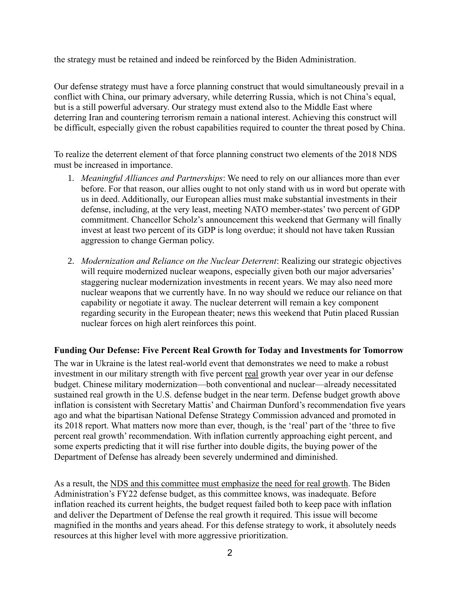the strategy must be retained and indeed be reinforced by the Biden Administration.

Our defense strategy must have a force planning construct that would simultaneously prevail in a conflict with China, our primary adversary, while deterring Russia, which is not China's equal, but is a still powerful adversary. Our strategy must extend also to the Middle East where deterring Iran and countering terrorism remain a national interest. Achieving this construct will be difficult, especially given the robust capabilities required to counter the threat posed by China.

To realize the deterrent element of that force planning construct two elements of the 2018 NDS must be increased in importance.

- 1. *Meaningful Alliances and Partnerships*: We need to rely on our alliances more than ever before. For that reason, our allies ought to not only stand with us in word but operate with us in deed. Additionally, our European allies must make substantial investments in their defense, including, at the very least, meeting NATO member-states' two percent of GDP commitment. Chancellor Scholz's announcement this weekend that Germany will finally invest at least two percent of its GDP is long overdue; it should not have taken Russian aggression to change German policy.
- 2. *Modernization and Reliance on the Nuclear Deterrent*: Realizing our strategic objectives will require modernized nuclear weapons, especially given both our major adversaries' staggering nuclear modernization investments in recent years. We may also need more nuclear weapons that we currently have. In no way should we reduce our reliance on that capability or negotiate it away. The nuclear deterrent will remain a key component regarding security in the European theater; news this weekend that Putin placed Russian nuclear forces on high alert reinforces this point.

#### **Funding Our Defense: Five Percent Real Growth for Today and Investments for Tomorrow**

The war in Ukraine is the latest real-world event that demonstrates we need to make a robust investment in our military strength with five percent real growth year over year in our defense budget. Chinese military modernization—both conventional and nuclear—already necessitated sustained real growth in the U.S. defense budget in the near term. Defense budget growth above inflation is consistent with Secretary Mattis' and Chairman Dunford's recommendation five years ago and what the bipartisan National Defense Strategy Commission advanced and promoted in its 2018 report. What matters now more than ever, though, is the 'real' part of the 'three to five percent real growth' recommendation. With inflation currently approaching eight percent, and some experts predicting that it will rise further into double digits, the buying power of the Department of Defense has already been severely undermined and diminished.

As a result, the NDS and this committee must emphasize the need for real growth. The Biden Administration's FY22 defense budget, as this committee knows, was inadequate. Before inflation reached its current heights, the budget request failed both to keep pace with inflation and deliver the Department of Defense the real growth it required. This issue will become magnified in the months and years ahead. For this defense strategy to work, it absolutely needs resources at this higher level with more aggressive prioritization.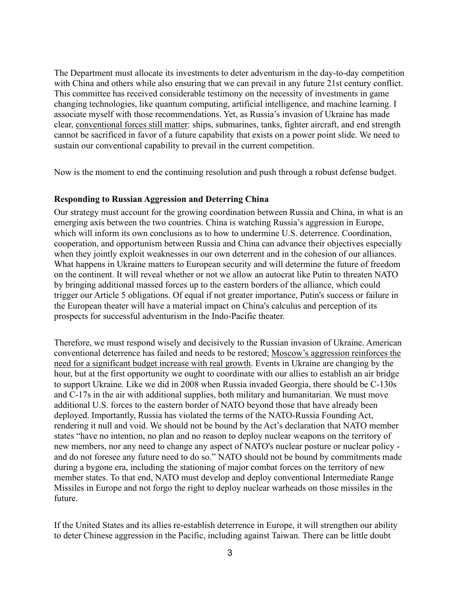The Department must allocate its investments to deter adventurism in the day-to-day competition with China and others while also ensuring that we can prevail in any future 21st century conflict. This committee has received considerable testimony on the necessity of investments in game changing technologies, like quantum computing, artificial intelligence, and machine learning. I associate myself with those recommendations. Yet, as Russia's invasion of Ukraine has made clear, conventional forces still matter: ships, submarines, tanks, fighter aircraft, and end strength cannot be sacrificed in favor of a future capability that exists on a power point slide. We need to sustain our conventional capability to prevail in the current competition.

Now is the moment to end the continuing resolution and push through a robust defense budget.

#### **Responding to Russian Aggression and Deterring China**

Our strategy must account for the growing coordination between Russia and China, in what is an emerging axis between the two countries. China is watching Russia's aggression in Europe, which will inform its own conclusions as to how to undermine U.S. deterrence. Coordination, cooperation, and opportunism between Russia and China can advance their objectives especially when they jointly exploit weaknesses in our own deterrent and in the cohesion of our alliances. What happens in Ukraine matters to European security and will determine the future of freedom on the continent. It will reveal whether or not we allow an autocrat like Putin to threaten NATO by bringing additional massed forces up to the eastern borders of the alliance, which could trigger our Article 5 obligations. Of equal if not greater importance, Putin's success or failure in the European theater will have a material impact on China's calculus and perception of its prospects for successful adventurism in the Indo-Pacific theater.

Therefore, we must respond wisely and decisively to the Russian invasion of Ukraine. American conventional deterrence has failed and needs to be restored; Moscow's aggression reinforces the need for a significant budget increase with real growth. Events in Ukraine are changing by the hour, but at the first opportunity we ought to coordinate with our allies to establish an air bridge to support Ukraine. Like we did in 2008 when Russia invaded Georgia, there should be C-130s and C-17s in the air with additional supplies, both military and humanitarian. We must move additional U.S. forces to the eastern border of NATO beyond those that have already been deployed. Importantly, Russia has violated the terms of the NATO-Russia Founding Act, rendering it null and void. We should not be bound by the Act's declaration that NATO member states "have no intention, no plan and no reason to deploy nuclear weapons on the territory of new members, nor any need to change any aspect of NATO's nuclear posture or nuclear policy and do not foresee any future need to do so." NATO should not be bound by commitments made during a bygone era, including the stationing of major combat forces on the territory of new member states. To that end, NATO must develop and deploy conventional Intermediate Range Missiles in Europe and not forgo the right to deploy nuclear warheads on those missiles in the future.

If the United States and its allies re-establish deterrence in Europe, it will strengthen our ability to deter Chinese aggression in the Pacific, including against Taiwan. There can be little doubt